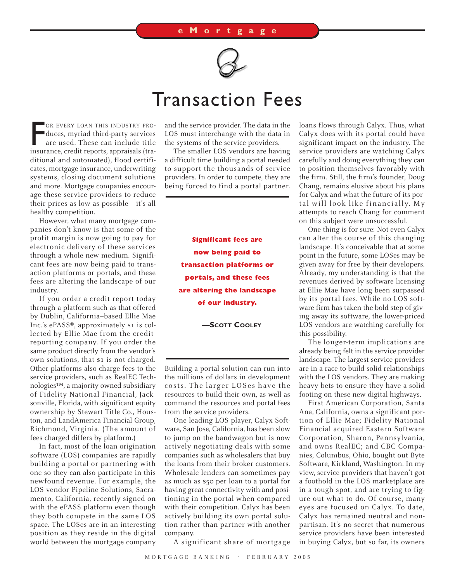

## Transaction Fees

OR EVERY LOAN THIS INDUSTRY PRO-<br>duces, myriad third-party services<br>are used. These can include title<br>insurance, credit reports, appraisals (tra-OR EVERY LOAN THIS INDUSTRY PROduces, myriad third-party services are used. These can include title ditional and automated), flood certificates, mortgage insurance, underwriting systems, closing document solutions and more. Mortgage companies encourage these service providers to reduce their prices as low as possible—it's all healthy competition.

However, what many mortgage companies don't know is that some of the profit margin is now going to pay for electronic delivery of these services through a whole new medium. Significant fees are now being paid to transaction platforms or portals, and these fees are altering the landscape of our industry.

If you order a credit report today through a platform such as that offered by Dublin, California–based Ellie Mae Inc.'s ePASS®, approximately \$1 is collected by Ellie Mae from the creditreporting company. If you order the same product directly from the vendor's own solutions, that \$1 is not charged. Other platforms also charge fees to the service providers, such as RealEC Technologies™, a majority-owned subsidiary of Fidelity National Financial, Jacksonville, Florida, with significant equity ownership by Stewart Title Co., Houston, and LandAmerica Financial Group, Richmond, Virginia. (The amount of fees charged differs by platform.)

In fact, most of the loan origination software (LOS) companies are rapidly building a portal or partnering with one so they can also participate in this newfound revenue. For example, the LOS vendor Pipeline Solutions, Sacramento, California, recently signed on with the ePASS platform even though they both compete in the same LOS space. The LOSes are in an interesting position as they reside in the digital world between the mortgage company and the service provider. The data in the LOS must interchange with the data in the systems of the service providers.

The smaller LOS vendors are having a difficult time building a portal needed to support the thousands of service providers. In order to compete, they are being forced to find a portal partner.

> **Significant fees are now being paid to transaction platforms or portals, and these fees are altering the landscape of our industry.**

> > **—SCOTT COOLEY**

Building a portal solution can run into the millions of dollars in development costs. The larger LOSes have the resources to build their own, as well as command the resources and portal fees from the service providers.

One leading LOS player, Calyx Software, San Jose, California, has been slow to jump on the bandwagon but is now actively negotiating deals with some companies such as wholesalers that buy the loans from their broker customers. Wholesale lenders can sometimes pay as much as \$50 per loan to a portal for having great connectivity with and positioning in the portal when compared with their competition. Calyx has been actively building its own portal solution rather than partner with another company.

A significant share of mortgage

loans flows through Calyx. Thus, what Calyx does with its portal could have significant impact on the industry. The service providers are watching Calyx carefully and doing everything they can to position themselves favorably with the firm. Still, the firm's founder, Doug Chang, remains elusive about his plans for Calyx and what the future of its portal will look like financially. My attempts to reach Chang for comment on this subject were unsuccessful.

One thing is for sure: Not even Calyx can alter the course of this changing landscape. It's conceivable that at some point in the future, some LOSes may be given away for free by their developers. Already, my understanding is that the revenues derived by software licensing at Ellie Mae have long been surpassed by its portal fees. While no LOS software firm has taken the bold step of giving away its software, the lower-priced LOS vendors are watching carefully for this possibility.

The longer-term implications are already being felt in the service provider landscape. The largest service providers are in a race to build solid relationships with the LOS vendors. They are making heavy bets to ensure they have a solid footing on these new digital highways.

First American Corporation, Santa Ana, California, owns a significant portion of Ellie Mae; Fidelity National Financial acquired Eastern Software Corporation, Sharon, Pennsylvania, and owns RealEC; and CBC Companies, Columbus, Ohio, bought out Byte Software, Kirkland, Washington. In my view, service providers that haven't got a foothold in the LOS marketplace are in a tough spot, and are trying to figure out what to do. Of course, many eyes are focused on Calyx. To date, Calyx has remained neutral and nonpartisan. It's no secret that numerous service providers have been interested in buying Calyx, but so far, its owners